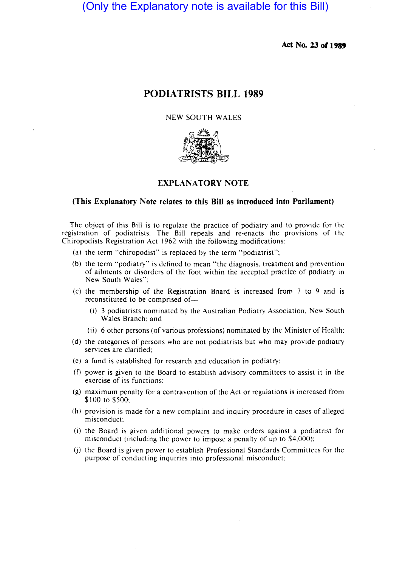(Only the Explanatory note is available for this Bill)

**Act No. 23 or 1989** 

## **PODIATRISTS BILL 1989**

## NEW SOUTH WALES



## **EXPLANATORY NOTE**

#### **(This Explanatory Note relates to this Bill as introduced into Parliament)**

The object of this Bill is to regulate the practice of podiatry and to provide for the registration of podiatrists. The Bill repeals and re-enacts the provisions of the Chiropodists Registration Act 1962 with the following modifications:

- (a) the term "chiropodist" is replaced by the term "podiatrist";
- (b) the term "podiatry" is defined to mean "the diagnosis. treatment and prevention of ailments or disorders of the foot within the accepted practice of podiatry in New South Wales":
- (c) the membership of the Registration Board is increased from  $7$  to  $9$  and is reconstituted to be comprised of-
	- $(i)$  3 podiatrists nominated by the Australian Podiatry Association, New South Wales Branch: and
	- (ii) 6 other persons (of various professions) nominated by the Minister of Health;
- (d) the categories of persons who are not podiatrists but who may provide podiatry services are clarified;
- (e) a fund is established for research and education in podiatry;
- (f) power is given to the Board to establish advisory committees to assist it in the exercise of its functions;
- (g) maximum penalty for a contravention of the Act or regulations is increased from \$100 to \$500:
- (h) provision is made for a new complaint and inquiry procedure in cases of alleged misconduct:
- (i) the Board is given additional powers to make orders against a podiatrist for misconduct (including the power to impose a penalty of up to \$4.000):
- (j) the Board is given power to establish Professional Standards Committees for the purpose of conducting inquiries into professional misconduct: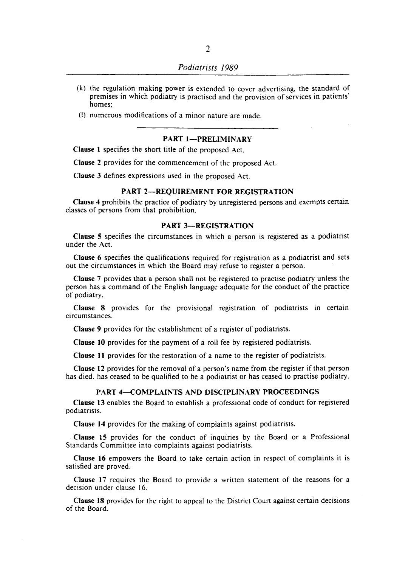(I) numerous modifications of a minor nature are made.

#### PART 1-PRELIMINARY

Clause 1 specifies the short title of the proposed Act.

Clause 2 provides for the commencement of the proposed Act.

Clause 3 defines expressions used in the proposed Act.

## PART 2-REQUIREMENT FOR REGISTRATION

Clause 4 prohibits the practice of podiatry by unregistered persons and exempts certain classes of persons from that prohibition.

#### PART 3-REGISTRATION

Clause 5 specifies the circumstances in which a person is registered as a podiatrist under the Act.

Clause 6 specifies the qualifications required for registration as a podiatrist and sets out the circumstances in which the Board may refuse to register a person.

Clause 7 provides that a person shall not be registered to practise podiatry unless the person has a command of the English language adequate for the conduct of the practice of podiatry.

Clause 8 provides for the provisional registration of podiatrists in certain circumstances.

Clause 9 provides for the establishment of a register of podiatrists.

Clause 10 provides for the payment of a roll fee by registered podiatrists.

Clause 11 provides for the restoration of a name to the register of podiatrists.

Clause 12 provides for the removal of a person's name from the register if that person has died. has ceased to be qualified to be a podiatrist or has ceased to practise podiatry.

#### PART 4-COMPLAINTS AND DISCIPLINARY PROCEEDINGS

Clause 13 enables the Board to establish a professional code of conduct for registered podiatrists.

Clause 14 provides for the making of complaints against podiatrists.

Clause 15 provides for the conduct of inquiries by the Board or a Professional Standards Committee into complaints against podiatrists.

Clause 16 empowers the Board to take certain action in respect of complaints it is satisfied are proved.

Clause 17 requires the Board to provide a written statement of the reasons for a decision under clause 16.

Clause 18 provides for the right to appeal to the District Court against certain decisions of the Board.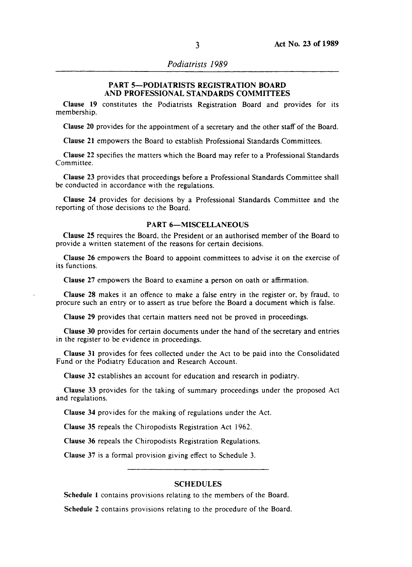*Podiatrists 1989* 

## PART 5-PODIATRISTS REGISTRATION BOARD AND PROFESSIONAL STANDARDS COMMITTEES

Clause 19 constitutes the Podiatrists Registration Board and provides for its membership.

Clause 20 provides for the appointment of a secretary and the other staff of the Board.

Clause 21 empowers the Board to establish Professional Standards Committees.

Clause 22 specifies the matters which the Board may refer to a Professional Standards Committee.

Clause 23 provides that proceedings before a Professional Standards Committee shall be conducted in accordance with the regulations.

Clause 24 provides for decisions by a Professional Standards Committee and the reporting of those decisions to the Board.

## PART 6-MISCELLANEOUS

Clause 25 requires the Board, the President or an authorised member of the Board to provide a written statement of the reasons for certain decisions.

Clause 26 empowers the Board to appoint committees to advise it on the exercise of its functions.

Clause 27 empowers the Board to examine a person on oath or affirmation.

Clause 28 makes it an offence to make a false entry in the register or, by fraud, to procure such an entry or to assert as true before the Board a document which is false.

Clause 29 provides that certain matters need not be proved in proceedings.

Clause 30 provides for certain documents under the hand of the secretary and entries in the register to be evidence in proceedings.

Clause 31 provides for fees collected under the Act to be paid into the Consolidated Fund or the Podiatry Education and Research Account.

Clause 32 establishes an account for education and research in podiatry.

Clause 33 provides for the taking of summary proceedings under the proposed Act and regulations.

Clause 34 provides for the making of regulations under the Act.

Clause 35 repeals the Chiropodists Registration Act 1962.

Clause 36 repeals the Chiropodists Registration Regulations.

Clause 37 is a formal provision giving effect to Schedule 3.

### **SCHEDULES**

Schedule 1 contains provisions relating to the members of the Board.

Schedule 2 contains provisions relating to the procedure of the Board.